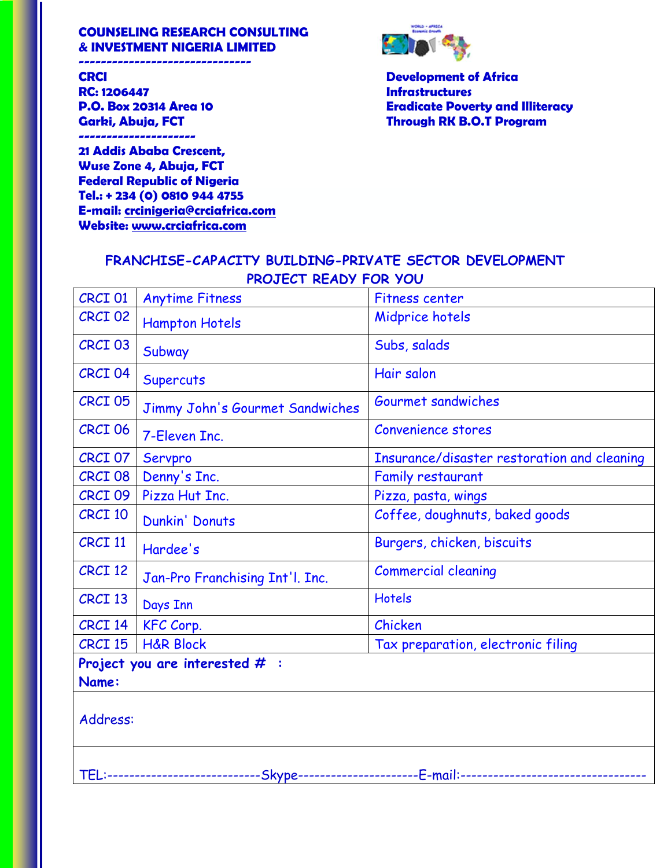### **COUNSELING RESEARCH CONSULTING & INVESTMENT NIGERIA LIMITED**

**-------------------------------**

**RC: 1206447** Infrastructures

**---------------------** 

**21 Addis Ababa Crescent, Wuse Zone 4, Abuja, FCT Federal Republic of Nigeria Tel.: + 234 (0) 0810 944 4755 E-mail: [crcinigeria@crciafrica.com](mailto:crcinigeria@crciafrica.com) Website: [www.crciafrica.com](http://www.crciafrica.com/)**



**CRCI Development of Africa P.O. Box 20314 Area 10 Eradicate Poverty and Illiteracy Garki, Abuja, FCT Through RK B.O.T Program**

| CRCI 01                          | <b>Anytime Fitness</b>          | <b>Fitness center</b>                                                                        |
|----------------------------------|---------------------------------|----------------------------------------------------------------------------------------------|
| CRCI 02                          | <b>Hampton Hotels</b>           | Midprice hotels                                                                              |
| CRCI 03                          | Subway                          | Subs, salads                                                                                 |
| CRCI 04                          | Supercuts                       | Hair salon                                                                                   |
| CRCI 05                          | Jimmy John's Gourmet Sandwiches | Gourmet sandwiches                                                                           |
| CRCI 06                          | 7-Eleven Inc.                   | <b>Convenience stores</b>                                                                    |
| CRCI 07                          | Servpro                         | Insurance/disaster restoration and cleaning                                                  |
| CRCI 08                          | Denny's Inc.                    | Family restaurant                                                                            |
| CRCI 09                          | Pizza Hut Inc.                  | Pizza, pasta, wings                                                                          |
| CRCI 10                          | Dunkin' Donuts                  | Coffee, doughnuts, baked goods                                                               |
| CRCI 11                          | Hardee's                        | Burgers, chicken, biscuits                                                                   |
| CRCI 12                          | Jan-Pro Franchising Int'l. Inc. | <b>Commercial cleaning</b>                                                                   |
| CRCI 13                          | Days Inn                        | <b>Hotels</b>                                                                                |
| CRCI 14                          | <b>KFC Corp.</b>                | Chicken                                                                                      |
| CRCI 15                          | <b>H&amp;R Block</b>            | Tax preparation, electronic filing                                                           |
| Project you are interested $#$ : |                                 |                                                                                              |
| Name:                            |                                 |                                                                                              |
| Address:                         |                                 |                                                                                              |
|                                  |                                 | TEL:--------------------------Skype----------------------E-mail:---------------------------- |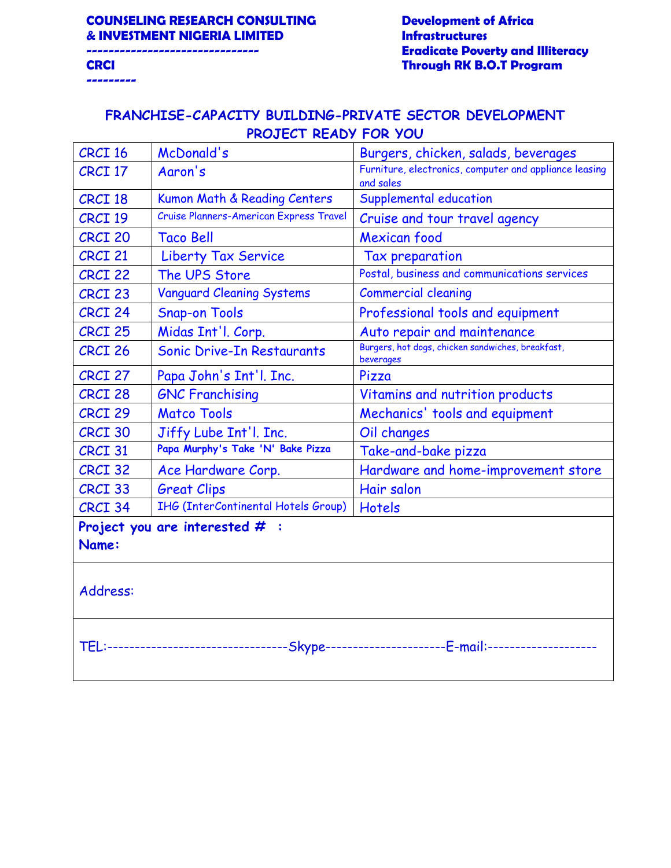**---------**

**------------------------------- Eradicate Poverty and Illiteracy CRCI CRCI Through RK B.O.T Program** 

| CRCI 16            | McDonald's                                 | Burgers, chicken, salads, beverages                                                 |
|--------------------|--------------------------------------------|-------------------------------------------------------------------------------------|
| CRCI 17            | Aaron's                                    | Furniture, electronics, computer and appliance leasing<br>and sales                 |
| CRCI 18            | Kumon Math & Reading Centers               | Supplemental education                                                              |
| CRCI 19            | Cruise Planners-American Express Travel    | Cruise and tour travel agency                                                       |
| CRCI 20            | <b>Taco Bell</b>                           | Mexican food                                                                        |
| CRCI 21            | <b>Liberty Tax Service</b>                 | Tax preparation                                                                     |
| CRCI 22            | The UPS Store                              | Postal, business and communications services                                        |
| CRCI 23            | <b>Vanguard Cleaning Systems</b>           | <b>Commercial cleaning</b>                                                          |
| CRCI 24            | <b>Snap-on Tools</b>                       | Professional tools and equipment                                                    |
| CRCI 25            | Midas Int'l. Corp.                         | Auto repair and maintenance                                                         |
| CRCI 26            | Sonic Drive-In Restaurants                 | Burgers, hot dogs, chicken sandwiches, breakfast,<br>beverages                      |
| CRCI 27            | Papa John's Int'l. Inc.                    | Pizza                                                                               |
| CRCI 28            | <b>GNC Franchising</b>                     | Vitamins and nutrition products                                                     |
| CRCI <sub>29</sub> | <b>Matco Tools</b>                         | Mechanics' tools and equipment                                                      |
| CRCI 30            | Jiffy Lube Int'l. Inc.                     | Oil changes                                                                         |
| CRCI 31            | Papa Murphy's Take 'N' Bake Pizza          | Take-and-bake pizza                                                                 |
| CRCI 32            | Ace Hardware Corp.                         | Hardware and home-improvement store                                                 |
| CRCI 33            | <b>Great Clips</b>                         | Hair salon                                                                          |
| CRCI 34            | <b>IHG (InterContinental Hotels Group)</b> | <b>Hotels</b>                                                                       |
|                    | Project you are interested $#$ :           |                                                                                     |
| Name:              |                                            |                                                                                     |
| Address:           |                                            |                                                                                     |
|                    |                                            | TEL:-------------------------------Skype---------------------E-mail:--------------- |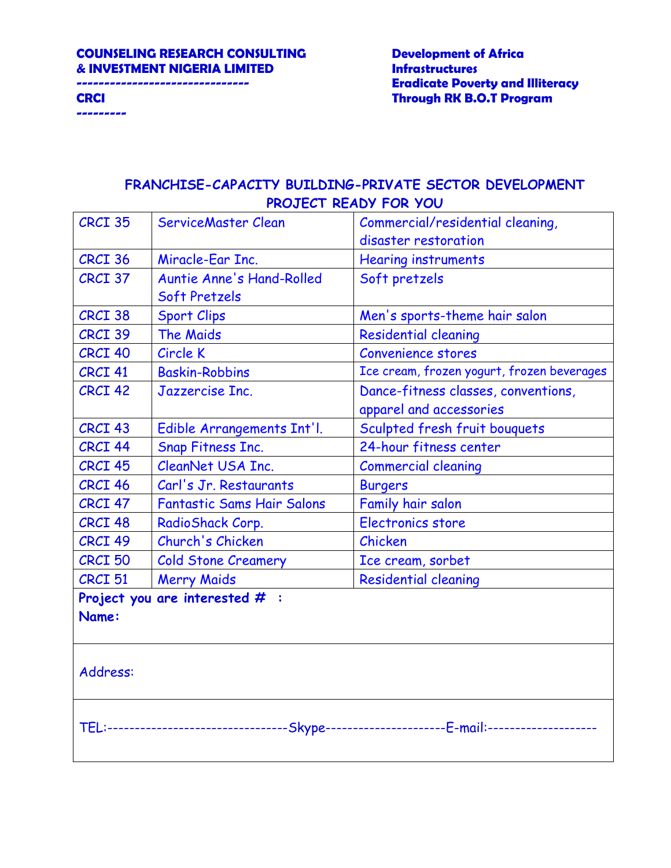**---------**

**------------------------------- Eradicate Poverty and Illiteracy CRCI Through RK B.O.T Program**

| CRCI 35                                                                            | ServiceMaster Clean               | Commercial/residential cleaning,           |
|------------------------------------------------------------------------------------|-----------------------------------|--------------------------------------------|
|                                                                                    |                                   | disaster restoration                       |
| CRCI 36                                                                            | Miracle-Ear Inc.                  | <b>Hearing instruments</b>                 |
| CRCI 37                                                                            | <b>Auntie Anne's Hand-Rolled</b>  | Soft pretzels                              |
|                                                                                    | Soft Pretzels                     |                                            |
| CRCI 38                                                                            | <b>Sport Clips</b>                | Men's sports-theme hair salon              |
| CRCI 39                                                                            | The Maids                         | <b>Residential cleaning</b>                |
| CRCI 40                                                                            | Circle K                          | <b>Convenience stores</b>                  |
| CRCI 41                                                                            | <b>Baskin-Robbins</b>             | Ice cream, frozen yogurt, frozen beverages |
| CRCI 42                                                                            | Jazzercise Inc.                   | Dance-fitness classes, conventions,        |
|                                                                                    |                                   | apparel and accessories                    |
| CRCI 43                                                                            | Edible Arrangements Int'l.        | Sculpted fresh fruit bouquets              |
| CRCI 44                                                                            | Snap Fitness Inc.                 | 24-hour fitness center                     |
| CRCI 45                                                                            | CleanNet USA Inc.                 | <b>Commercial cleaning</b>                 |
| CRCI 46                                                                            | Carl's Jr. Restaurants            | <b>Burgers</b>                             |
| CRCI 47                                                                            | <b>Fantastic Sams Hair Salons</b> | Family hair salon                          |
| CRCI 48                                                                            | RadioShack Corp.                  | <b>Electronics store</b>                   |
| CRCI 49                                                                            | Church's Chicken                  | Chicken                                    |
| CRCI <sub>50</sub>                                                                 | <b>Cold Stone Creamery</b>        | Ice cream, sorbet                          |
| CRCI <sub>51</sub>                                                                 | <b>Merry Maids</b>                | <b>Residential cleaning</b>                |
|                                                                                    | Project you are interested $#$ :  |                                            |
| Name:                                                                              |                                   |                                            |
|                                                                                    |                                   |                                            |
|                                                                                    |                                   |                                            |
| Address:                                                                           |                                   |                                            |
|                                                                                    |                                   |                                            |
|                                                                                    |                                   |                                            |
| TEL:-------------------------------Skype---------------------E-mail:-------------- |                                   |                                            |
|                                                                                    |                                   |                                            |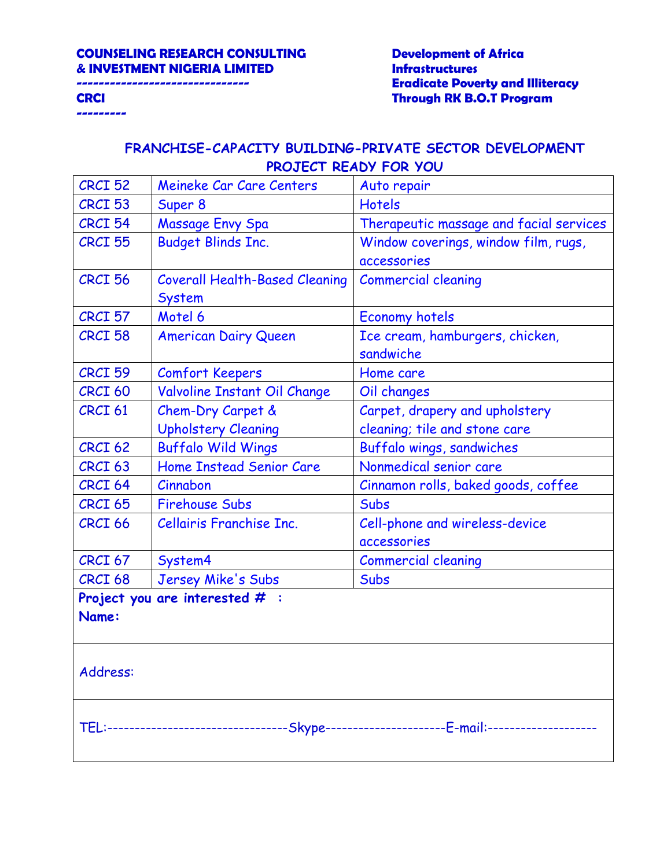**---------**

# **------------------------------- Eradicate Poverty and Illiteracy CRCI Through RK B.O.T Program**

| CRCI <sub>52</sub> | <b>Meineke Car Care Centers</b>       | Auto repair                                                                            |
|--------------------|---------------------------------------|----------------------------------------------------------------------------------------|
| CRCI <sub>53</sub> | Super 8                               | <b>Hotels</b>                                                                          |
| CRCI 54            | <b>Massage Envy Spa</b>               | Therapeutic massage and facial services                                                |
| CRCI 55            | <b>Budget Blinds Inc.</b>             | Window coverings, window film, rugs,                                                   |
|                    |                                       | accessories                                                                            |
| CRCI 56            | <b>Coverall Health-Based Cleaning</b> | <b>Commercial cleaning</b>                                                             |
|                    | System                                |                                                                                        |
| CRCI 57            | Motel 6                               | <b>Economy hotels</b>                                                                  |
| CRCI 58            | <b>American Dairy Queen</b>           | Ice cream, hamburgers, chicken,                                                        |
|                    |                                       | sandwiche                                                                              |
| CRCI <sub>59</sub> | <b>Comfort Keepers</b>                | Home care                                                                              |
| CRCI 60            | Valvoline Instant Oil Change          | Oil changes                                                                            |
| CRCI <sub>61</sub> | Chem-Dry Carpet &                     | Carpet, drapery and upholstery                                                         |
|                    | <b>Upholstery Cleaning</b>            | cleaning; tile and stone care                                                          |
| CRCI 62            | <b>Buffalo Wild Wings</b>             | Buffalo wings, sandwiches                                                              |
| CRCI 63            | Home Instead Senior Care              | Nonmedical senior care                                                                 |
| CRCI 64            | Cinnabon                              | Cinnamon rolls, baked goods, coffee                                                    |
| CRCI 65            | <b>Firehouse Subs</b>                 | <b>Subs</b>                                                                            |
| CRCI 66            | Cellairis Franchise Inc.              | Cell-phone and wireless-device                                                         |
|                    |                                       | accessories                                                                            |
| CRCI 67            | System4                               | <b>Commercial cleaning</b>                                                             |
| CRCI 68            | Jersey Mike's Subs                    | Subs                                                                                   |
|                    | Project you are interested $#$ :      |                                                                                        |
| Name:              |                                       |                                                                                        |
|                    |                                       |                                                                                        |
|                    |                                       |                                                                                        |
| Address:           |                                       |                                                                                        |
|                    |                                       |                                                                                        |
|                    |                                       |                                                                                        |
|                    |                                       | TEL:--------------------------------Skype----------------------E-mail:---------------- |
|                    |                                       |                                                                                        |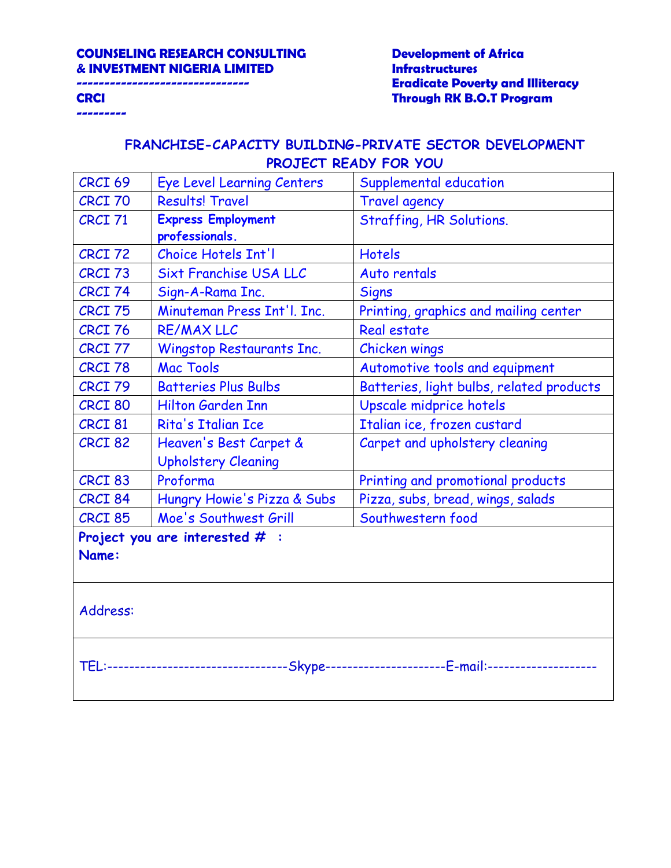**---------**

# **------------------------------- Eradicate Poverty and Illiteracy CRCI Through RK B.O.T Program**

| CRCI <sub>69</sub> | <b>Eye Level Learning Centers</b> | Supplemental education                                                                 |
|--------------------|-----------------------------------|----------------------------------------------------------------------------------------|
| CRCI 70            | <b>Results! Travel</b>            | <b>Travel agency</b>                                                                   |
| CRCI 71            | <b>Express Employment</b>         | Straffing, HR Solutions.                                                               |
|                    | professionals.                    |                                                                                        |
| CRCI 72            | <b>Choice Hotels Int'l</b>        | <b>Hotels</b>                                                                          |
| CRCI 73            | <b>Sixt Franchise USA LLC</b>     | Auto rentals                                                                           |
| CRCI 74            | Sign-A-Rama Inc.                  | <b>Signs</b>                                                                           |
| CRCI 75            | Minuteman Press Int'l. Inc.       | Printing, graphics and mailing center                                                  |
| CRCI 76            | <b>RE/MAX LLC</b>                 | Real estate                                                                            |
| CRCI 77            | <b>Wingstop Restaurants Inc.</b>  | Chicken wings                                                                          |
| CRCI 78            | <b>Mac Tools</b>                  | Automotive tools and equipment                                                         |
| CRCI 79            | <b>Batteries Plus Bulbs</b>       | Batteries, light bulbs, related products                                               |
| CRCI 80            | <b>Hilton Garden Inn</b>          | Upscale midprice hotels                                                                |
| CRCI 81            | Rita's Italian Ice                | Italian ice, frozen custard                                                            |
| CRCI 82            | Heaven's Best Carpet &            | Carpet and upholstery cleaning                                                         |
|                    | <b>Upholstery Cleaning</b>        |                                                                                        |
| CRCI 83            | Proforma                          | Printing and promotional products                                                      |
| CRCI 84            | Hungry Howie's Pizza & Subs       | Pizza, subs, bread, wings, salads                                                      |
| CRCI 85            | Moe's Southwest Grill             | Southwestern food                                                                      |
|                    | Project you are interested $#$ :  |                                                                                        |
| Name:              |                                   |                                                                                        |
|                    |                                   |                                                                                        |
|                    |                                   |                                                                                        |
| Address:           |                                   |                                                                                        |
|                    |                                   |                                                                                        |
|                    |                                   |                                                                                        |
|                    |                                   | TEL:--------------------------------Skype----------------------E-mail:---------------- |
|                    |                                   |                                                                                        |
|                    |                                   |                                                                                        |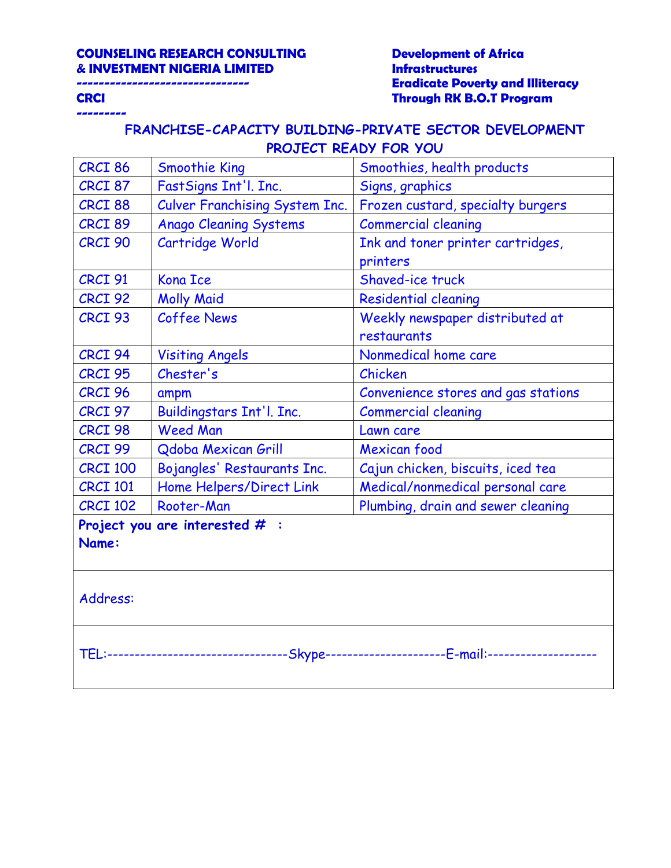**---------**

# **------------------------------- Eradicate Poverty and Illiteracy CRCI Through RK B.O.T Program**

| CRCI 86         | <b>Smoothie King</b>                  | Smoothies, health products                                                            |
|-----------------|---------------------------------------|---------------------------------------------------------------------------------------|
| CRCI 87         | FastSigns Int'l. Inc.                 | Signs, graphics                                                                       |
| CRCI 88         | <b>Culver Franchising System Inc.</b> | Frozen custard, specialty burgers                                                     |
| CRCI 89         | <b>Anago Cleaning Systems</b>         | <b>Commercial cleaning</b>                                                            |
| CRCI 90         | Cartridge World                       | Ink and toner printer cartridges,                                                     |
|                 |                                       | printers                                                                              |
| CRCI 91         | <b>Kona Ice</b>                       | Shaved-ice truck                                                                      |
| CRCI 92         | <b>Molly Maid</b>                     | <b>Residential cleaning</b>                                                           |
| CRCI 93         | <b>Coffee News</b>                    | Weekly newspaper distributed at                                                       |
|                 |                                       | restaurants                                                                           |
| CRCI 94         | <b>Visiting Angels</b>                | Nonmedical home care                                                                  |
| CRCI 95         | Chester's                             | Chicken                                                                               |
| CRCI 96         | ampm                                  | Convenience stores and gas stations                                                   |
| CRCI 97         | Buildingstars Int'l. Inc.             | <b>Commercial cleaning</b>                                                            |
| CRCI 98         | <b>Weed Man</b>                       | Lawn care                                                                             |
| CRCI 99         | Qdoba Mexican Grill                   | Mexican food                                                                          |
| <b>CRCI 100</b> | Bojangles' Restaurants Inc.           | Cajun chicken, biscuits, iced tea                                                     |
| <b>CRCI 101</b> | Home Helpers/Direct Link              | Medical/nonmedical personal care                                                      |
| <b>CRCI 102</b> | Rooter-Man                            | Plumbing, drain and sewer cleaning                                                    |
|                 | Project you are interested $#$ :      |                                                                                       |
| Name:           |                                       |                                                                                       |
|                 |                                       |                                                                                       |
|                 |                                       |                                                                                       |
| Address:        |                                       |                                                                                       |
|                 |                                       |                                                                                       |
|                 |                                       |                                                                                       |
|                 |                                       | TEL:-------------------------------Skype---------------------E-mail:----------------- |
|                 |                                       |                                                                                       |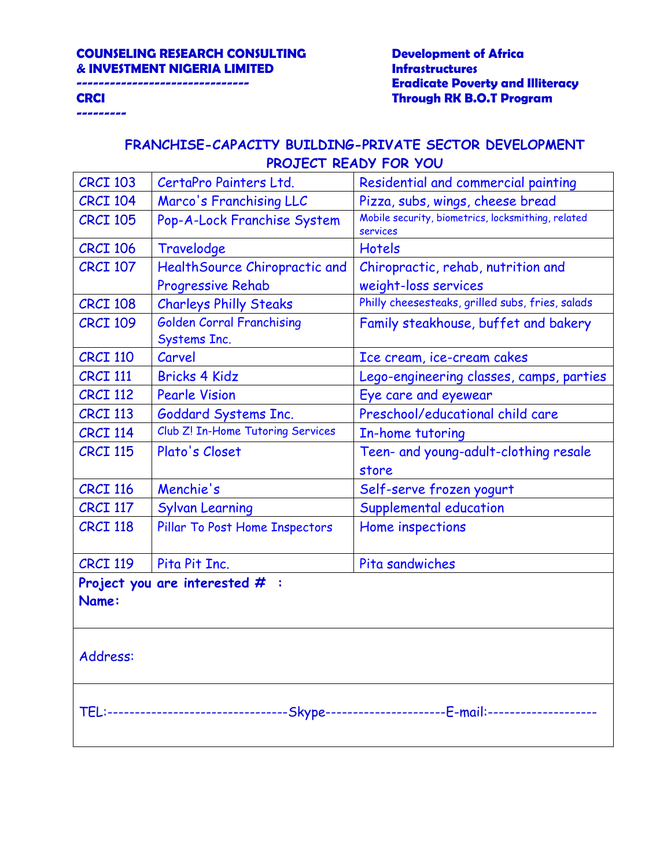**---------**

# **------------------------------- Eradicate Poverty and Illiteracy CRCI Through RK B.O.T Program**

| <b>CRCI 103</b> | CertaPro Painters Ltd.                           | Residential and commercial painting                                                |  |
|-----------------|--------------------------------------------------|------------------------------------------------------------------------------------|--|
| <b>CRCI 104</b> | Marco's Franchising LLC                          | Pizza, subs, wings, cheese bread                                                   |  |
| <b>CRCI 105</b> | Pop-A-Lock Franchise System                      | Mobile security, biometrics, locksmithing, related<br>services                     |  |
| <b>CRCI 106</b> | Travelodge                                       | <b>Hotels</b>                                                                      |  |
| <b>CRCI 107</b> | Health Source Chiropractic and                   | Chiropractic, rehab, nutrition and                                                 |  |
|                 | <b>Progressive Rehab</b>                         | weight-loss services                                                               |  |
| <b>CRCI 108</b> | <b>Charleys Philly Steaks</b>                    | Philly cheesesteaks, grilled subs, fries, salads                                   |  |
| <b>CRCI 109</b> | <b>Golden Corral Franchising</b><br>Systems Inc. | Family steakhouse, buffet and bakery                                               |  |
| <b>CRCI 110</b> | Carvel                                           | Ice cream, ice-cream cakes                                                         |  |
| <b>CRCI 111</b> | <b>Bricks 4 Kidz</b>                             | Lego-engineering classes, camps, parties                                           |  |
| <b>CRCI 112</b> | <b>Pearle Vision</b>                             | Eye care and eyewear                                                               |  |
| <b>CRCI 113</b> | Goddard Systems Inc.                             | Preschool/educational child care                                                   |  |
| <b>CRCI 114</b> | Club Z! In-Home Tutoring Services                | In-home tutoring                                                                   |  |
| <b>CRCI 115</b> | Plato's Closet                                   | Teen- and young-adult-clothing resale                                              |  |
|                 |                                                  | store                                                                              |  |
| <b>CRCI 116</b> | Menchie's                                        | Self-serve frozen yogurt                                                           |  |
| <b>CRCI 117</b> | <b>Sylvan Learning</b>                           | Supplemental education                                                             |  |
| <b>CRCI 118</b> | Pillar To Post Home Inspectors                   | Home inspections                                                                   |  |
| <b>CRCI 119</b> | Pita Pit Inc.                                    | Pita sandwiches                                                                    |  |
|                 | Project you are interested $#$ :                 |                                                                                    |  |
| Name:           |                                                  |                                                                                    |  |
| Address:        |                                                  |                                                                                    |  |
|                 |                                                  |                                                                                    |  |
|                 |                                                  | TEL:-------------------------------Skype---------------------E-mail:-------------- |  |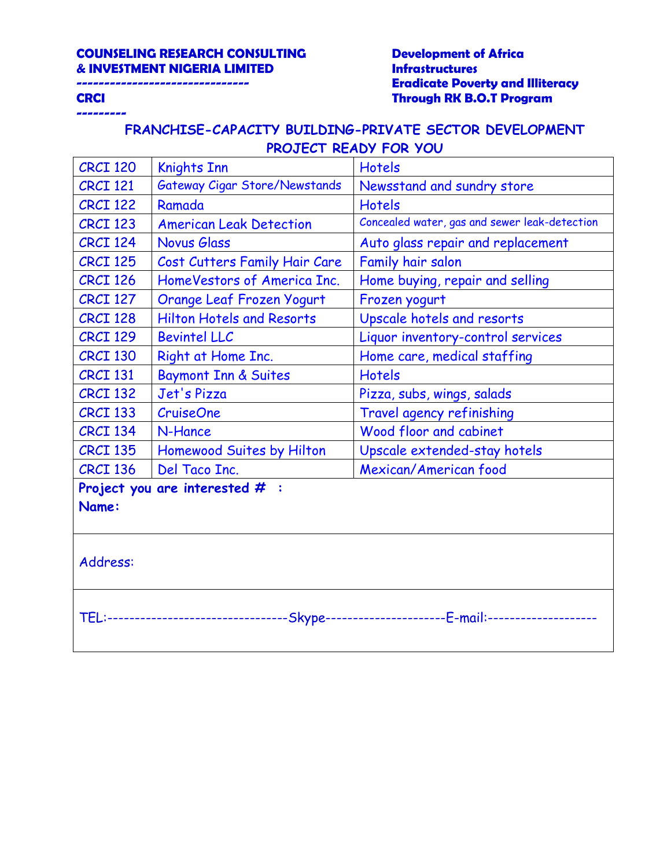**---------**

# **------------------------------- Eradicate Poverty and Illiteracy CRCI Through RK B.O.T Program**

| <b>CRCI 120</b> | <b>Knights Inn</b>                   | <b>Hotels</b>                                             |
|-----------------|--------------------------------------|-----------------------------------------------------------|
| <b>CRCI 121</b> | <b>Gateway Cigar Store/Newstands</b> | Newsstand and sundry store                                |
| <b>CRCI 122</b> | Ramada                               | <b>Hotels</b>                                             |
| <b>CRCI 123</b> | <b>American Leak Detection</b>       | Concealed water, gas and sewer leak-detection             |
| <b>CRCI 124</b> | <b>Novus Glass</b>                   | Auto glass repair and replacement                         |
| <b>CRCI 125</b> | Cost Cutters Family Hair Care        | Family hair salon                                         |
| <b>CRCI 126</b> | HomeVestors of America Inc.          | Home buying, repair and selling                           |
| <b>CRCI 127</b> | <b>Orange Leaf Frozen Yogurt</b>     | Frozen yogurt                                             |
| <b>CRCI 128</b> | <b>Hilton Hotels and Resorts</b>     | Upscale hotels and resorts                                |
| <b>CRCI 129</b> | <b>Bevintel LLC</b>                  | Liquor inventory-control services                         |
| <b>CRCI 130</b> | Right at Home Inc.                   | Home care, medical staffing                               |
| <b>CRCI 131</b> | <b>Baymont Inn &amp; Suites</b>      | <b>Hotels</b>                                             |
| <b>CRCI 132</b> | Jet's Pizza                          | Pizza, subs, wings, salads                                |
| <b>CRCI 133</b> | <b>CruiseOne</b>                     | Travel agency refinishing                                 |
| <b>CRCI 134</b> | N-Hance                              | Wood floor and cabinet                                    |
| <b>CRCI 135</b> | Homewood Suites by Hilton            | Upscale extended-stay hotels                              |
| <b>CRCI 136</b> | Del Taco Inc.                        | <b>Mexican/American food</b>                              |
|                 | Project you are interested $#$ :     |                                                           |
| Name:           |                                      |                                                           |
|                 |                                      |                                                           |
|                 |                                      |                                                           |
| Address:        |                                      |                                                           |
|                 |                                      |                                                           |
|                 |                                      |                                                           |
|                 | TEL:-------------------------------- | --Skype-----------------------E-mail:-------------------- |
|                 |                                      |                                                           |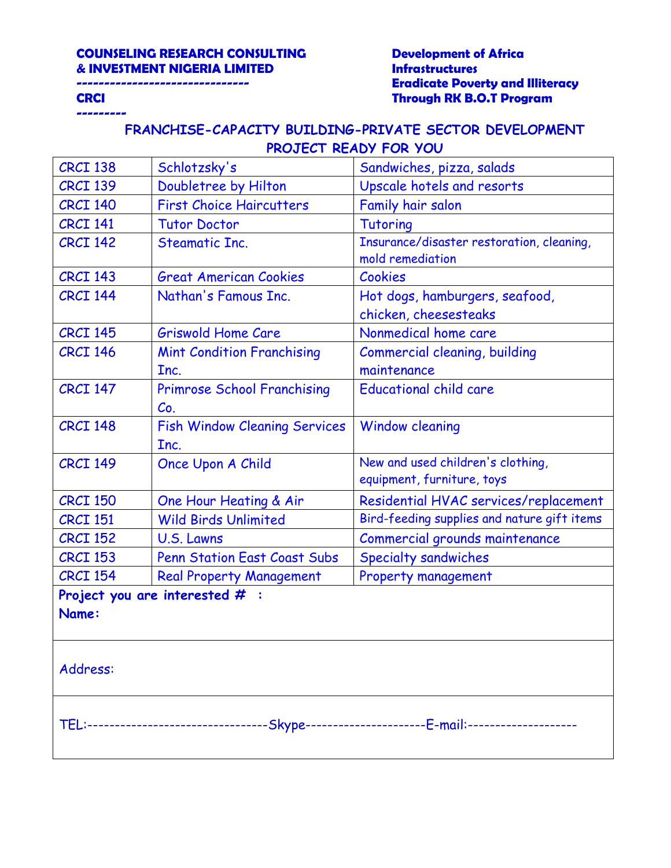**---------**

# **------------------------------- Eradicate Poverty and Illiteracy CRCI Through RK B.O.T Program**

| <b>CRCI 138</b> | Schlotzsky's                         | Sandwiches, pizza, salads                                                            |
|-----------------|--------------------------------------|--------------------------------------------------------------------------------------|
| <b>CRCI 139</b> | Doubletree by Hilton                 | Upscale hotels and resorts                                                           |
| <b>CRCI 140</b> | <b>First Choice Haircutters</b>      | Family hair salon                                                                    |
| <b>CRCI 141</b> | <b>Tutor Doctor</b>                  | <b>Tutoring</b>                                                                      |
| <b>CRCI 142</b> | <b>Steamatic Inc.</b>                | Insurance/disaster restoration, cleaning,                                            |
|                 |                                      | mold remediation                                                                     |
| <b>CRCI 143</b> | <b>Great American Cookies</b>        | Cookies                                                                              |
| <b>CRCI 144</b> | Nathan's Famous Inc.                 | Hot dogs, hamburgers, seafood,                                                       |
|                 |                                      | chicken, cheesesteaks                                                                |
| <b>CRCI 145</b> | <b>Griswold Home Care</b>            | Nonmedical home care                                                                 |
| <b>CRCI 146</b> | <b>Mint Condition Franchising</b>    | Commercial cleaning, building                                                        |
|                 | Inc.                                 | maintenance                                                                          |
| <b>CRCI 147</b> | <b>Primrose School Franchising</b>   | <b>Educational child care</b>                                                        |
|                 | Co.                                  |                                                                                      |
| <b>CRCI 148</b> | <b>Fish Window Cleaning Services</b> | <b>Window cleaning</b>                                                               |
|                 | Inc.                                 |                                                                                      |
| <b>CRCI 149</b> | Once Upon A Child                    | New and used children's clothing,                                                    |
|                 |                                      | equipment, furniture, toys                                                           |
| <b>CRCI 150</b> | One Hour Heating & Air               | Residential HVAC services/replacement                                                |
| <b>CRCI 151</b> | <b>Wild Birds Unlimited</b>          | Bird-feeding supplies and nature gift items                                          |
| <b>CRCI 152</b> | U.S. Lawns                           | Commercial grounds maintenance                                                       |
| <b>CRCI 153</b> | <b>Penn Station East Coast Subs</b>  | <b>Specialty sandwiches</b>                                                          |
| <b>CRCI 154</b> | <b>Real Property Management</b>      | Property management                                                                  |
|                 | Project you are interested $#$ :     |                                                                                      |
| Name:           |                                      |                                                                                      |
|                 |                                      |                                                                                      |
|                 |                                      |                                                                                      |
| Address:        |                                      |                                                                                      |
|                 |                                      |                                                                                      |
|                 |                                      |                                                                                      |
|                 |                                      | TEL:-------------------------------Skype--------------------E-mail:----------------- |
|                 |                                      |                                                                                      |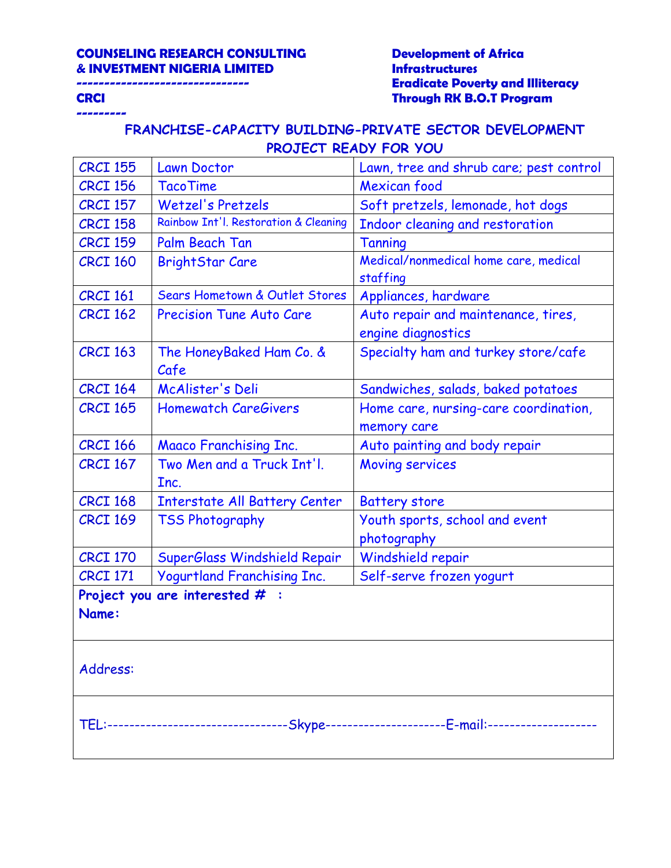**---------**

# **------------------------------- Eradicate Poverty and Illiteracy CRCI Through RK B.O.T Program**

| <b>CRCI 155</b> | <b>Lawn Doctor</b>                    | Lawn, tree and shrub care; pest control                                              |
|-----------------|---------------------------------------|--------------------------------------------------------------------------------------|
| <b>CRCI 156</b> | <b>Taco Time</b>                      | Mexican food                                                                         |
| <b>CRCI 157</b> | Wetzel's Pretzels                     | Soft pretzels, lemonade, hot dogs                                                    |
| <b>CRCI 158</b> | Rainbow Int'l. Restoration & Cleaning | Indoor cleaning and restoration                                                      |
| <b>CRCI 159</b> | Palm Beach Tan                        | Tanning                                                                              |
| <b>CRCI 160</b> | <b>BrightStar Care</b>                | Medical/nonmedical home care, medical<br>staffing                                    |
| <b>CRCI 161</b> | Sears Hometown & Outlet Stores        | Appliances, hardware                                                                 |
| <b>CRCI 162</b> | <b>Precision Tune Auto Care</b>       | Auto repair and maintenance, tires,<br>engine diagnostics                            |
| <b>CRCI 163</b> | The HoneyBaked Ham Co. &<br>Cafe      | Specialty ham and turkey store/cafe                                                  |
| <b>CRCI 164</b> | McAlister's Deli                      | Sandwiches, salads, baked potatoes                                                   |
| <b>CRCI 165</b> | <b>Homewatch CareGivers</b>           | Home care, nursing-care coordination,<br>memory care                                 |
| <b>CRCI 166</b> | <b>Maaco Franchising Inc.</b>         | Auto painting and body repair                                                        |
| <b>CRCI 167</b> | Two Men and a Truck Int'l.<br>Inc.    | <b>Moving services</b>                                                               |
| <b>CRCI 168</b> | <b>Interstate All Battery Center</b>  | <b>Battery store</b>                                                                 |
| <b>CRCI 169</b> | <b>TSS Photography</b>                | Youth sports, school and event<br>photography                                        |
| <b>CRCI 170</b> | SuperGlass Windshield Repair          | Windshield repair                                                                    |
| <b>CRCI 171</b> | <b>Yogurtland Franchising Inc.</b>    | Self-serve frozen yogurt                                                             |
| Name:           | Project you are interested #          |                                                                                      |
| Address:        |                                       |                                                                                      |
|                 |                                       | TEL:--------------------------------Skype---------------------E-mail:--------------- |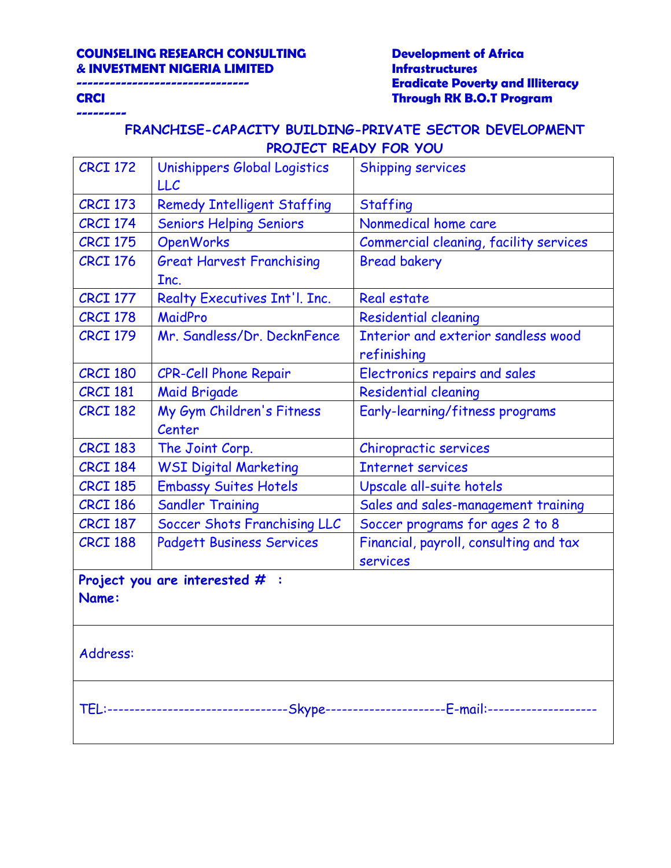**---------**

# **------------------------------- Eradicate Poverty and Illiteracy CRCI Through RK B.O.T Program**

| <b>CRCI 172</b>                                                                         | Unishippers Global Logistics       | <b>Shipping services</b>               |
|-----------------------------------------------------------------------------------------|------------------------------------|----------------------------------------|
|                                                                                         | <b>LLC</b>                         |                                        |
| <b>CRCI 173</b>                                                                         | <b>Remedy Intelligent Staffing</b> | <b>Staffing</b>                        |
| <b>CRCI 174</b>                                                                         | <b>Seniors Helping Seniors</b>     | Nonmedical home care                   |
| <b>CRCI 175</b>                                                                         | <b>OpenWorks</b>                   | Commercial cleaning, facility services |
| <b>CRCI 176</b>                                                                         | <b>Great Harvest Franchising</b>   | <b>Bread bakery</b>                    |
|                                                                                         | Inc.                               |                                        |
| <b>CRCI 177</b>                                                                         | Realty Executives Int'l. Inc.      | Real estate                            |
| <b>CRCI 178</b>                                                                         | MaidPro                            | <b>Residential cleaning</b>            |
| <b>CRCI 179</b>                                                                         | Mr. Sandless/Dr. DecknFence        | Interior and exterior sandless wood    |
|                                                                                         |                                    | refinishing                            |
| <b>CRCI 180</b>                                                                         | <b>CPR-Cell Phone Repair</b>       | Electronics repairs and sales          |
| <b>CRCI 181</b>                                                                         | <b>Maid Brigade</b>                | <b>Residential cleaning</b>            |
| <b>CRCI 182</b>                                                                         | My Gym Children's Fitness          | Early-learning/fitness programs        |
|                                                                                         | Center                             |                                        |
| <b>CRCI 183</b>                                                                         | The Joint Corp.                    | Chiropractic services                  |
| <b>CRCI 184</b>                                                                         | <b>WSI Digital Marketing</b>       | <b>Internet services</b>               |
| <b>CRCI 185</b>                                                                         | <b>Embassy Suites Hotels</b>       | Upscale all-suite hotels               |
| <b>CRCI 186</b>                                                                         | <b>Sandler Training</b>            | Sales and sales-management training    |
| <b>CRCI 187</b>                                                                         | Soccer Shots Franchising LLC       | Soccer programs for ages 2 to 8        |
| <b>CRCI 188</b>                                                                         | <b>Padgett Business Services</b>   | Financial, payroll, consulting and tax |
|                                                                                         |                                    | services                               |
|                                                                                         | Project you are interested $#$ :   |                                        |
| Name:                                                                                   |                                    |                                        |
|                                                                                         |                                    |                                        |
|                                                                                         |                                    |                                        |
| Address:                                                                                |                                    |                                        |
|                                                                                         |                                    |                                        |
|                                                                                         |                                    |                                        |
| TEL:--------------------------------Skype--------------------E-mail:------------------- |                                    |                                        |
|                                                                                         |                                    |                                        |
|                                                                                         |                                    |                                        |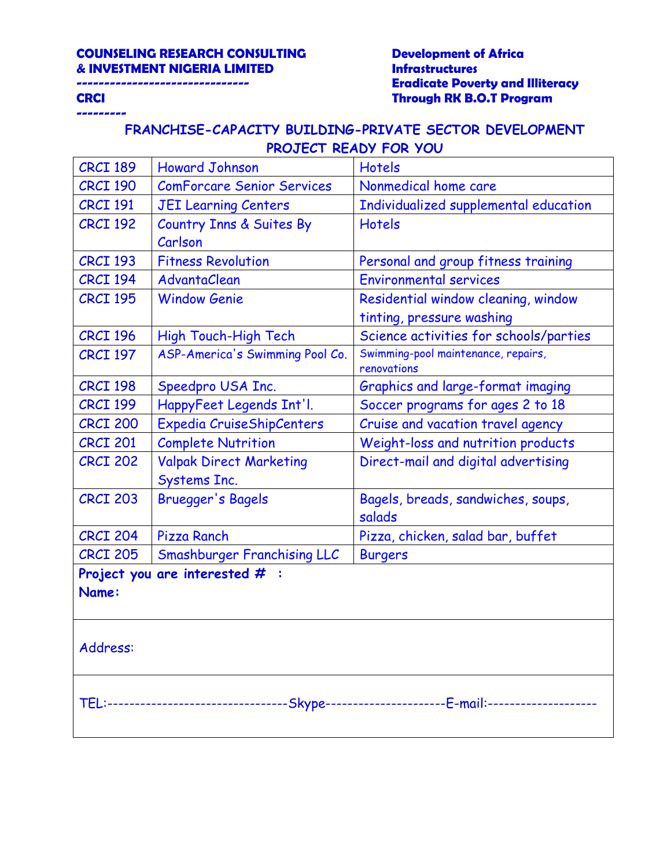**---------**

# **------------------------------- Eradicate Poverty and Illiteracy CRCI Through RK B.O.T Program**

| <b>CRCI 189</b>                                                                           | <b>Howard Johnson</b>             | <b>Hotels</b>                                      |  |
|-------------------------------------------------------------------------------------------|-----------------------------------|----------------------------------------------------|--|
| <b>CRCI 190</b>                                                                           | <b>ComForcare Senior Services</b> | Nonmedical home care                               |  |
| <b>CRCI 191</b>                                                                           | <b>JEI Learning Centers</b>       | Individualized supplemental education              |  |
| <b>CRCI 192</b>                                                                           | Country Inns & Suites By          | <b>Hotels</b>                                      |  |
|                                                                                           | Carlson                           |                                                    |  |
| <b>CRCI 193</b>                                                                           | <b>Fitness Revolution</b>         | Personal and group fitness training                |  |
| <b>CRCI 194</b>                                                                           | AdvantaClean                      | <b>Environmental services</b>                      |  |
| <b>CRCI 195</b>                                                                           | <b>Window Genie</b>               | Residential window cleaning, window                |  |
|                                                                                           |                                   | tinting, pressure washing                          |  |
| <b>CRCI 196</b>                                                                           | High Touch-High Tech              | Science activities for schools/parties             |  |
| <b>CRCI 197</b>                                                                           | ASP-America's Swimming Pool Co.   | Swimming-pool maintenance, repairs,<br>renovations |  |
| <b>CRCI 198</b>                                                                           | Speedpro USA Inc.                 | Graphics and large-format imaging                  |  |
| <b>CRCI 199</b>                                                                           | HappyFeet Legends Int'l.          | Soccer programs for ages 2 to 18                   |  |
| <b>CRCI 200</b>                                                                           | Expedia CruiseShipCenters         | Cruise and vacation travel agency                  |  |
| <b>CRCI 201</b>                                                                           | <b>Complete Nutrition</b>         | Weight-loss and nutrition products                 |  |
| <b>CRCI 202</b>                                                                           | <b>Valpak Direct Marketing</b>    | Direct-mail and digital advertising                |  |
|                                                                                           | Systems Inc.                      |                                                    |  |
| <b>CRCI 203</b>                                                                           | <b>Bruegger's Bagels</b>          | Bagels, breads, sandwiches, soups,<br>salads       |  |
| <b>CRCI 204</b>                                                                           | Pizza Ranch                       | Pizza, chicken, salad bar, buffet                  |  |
| <b>CRCI 205</b>                                                                           | Smashburger Franchising LLC       | <b>Burgers</b>                                     |  |
|                                                                                           | Project you are interested #      |                                                    |  |
| Name:                                                                                     |                                   |                                                    |  |
|                                                                                           |                                   |                                                    |  |
|                                                                                           |                                   |                                                    |  |
| Address:                                                                                  |                                   |                                                    |  |
|                                                                                           |                                   |                                                    |  |
| TEL:---------------------------------Skype---------------------E-mail:------------------- |                                   |                                                    |  |
|                                                                                           |                                   |                                                    |  |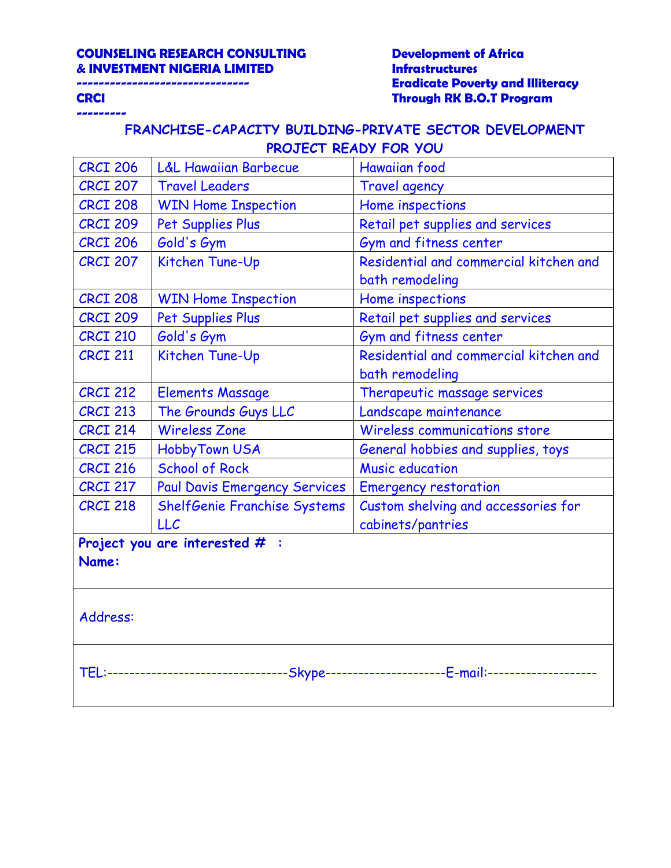**---------**

# **------------------------------- Eradicate Poverty and Illiteracy CRCI Through RK B.O.T Program**

| <b>CRCI 206</b>                  | <b>L&amp;L Hawaiian Barbecue</b>     | <b>Hawaiian food</b>                                                                    |  |  |  |
|----------------------------------|--------------------------------------|-----------------------------------------------------------------------------------------|--|--|--|
| <b>CRCI 207</b>                  | <b>Travel Leaders</b>                | Travel agency                                                                           |  |  |  |
| <b>CRCI 208</b>                  | <b>WIN Home Inspection</b>           | Home inspections                                                                        |  |  |  |
| <b>CRCI 209</b>                  | <b>Pet Supplies Plus</b>             | Retail pet supplies and services                                                        |  |  |  |
| <b>CRCI 206</b>                  | Gold's Gym                           | Gym and fitness center                                                                  |  |  |  |
| <b>CRCI 207</b>                  | Kitchen Tune-Up                      | Residential and commercial kitchen and                                                  |  |  |  |
|                                  |                                      | bath remodeling                                                                         |  |  |  |
| <b>CRCI 208</b>                  | <b>WIN Home Inspection</b>           | Home inspections                                                                        |  |  |  |
| <b>CRCI 209</b>                  | <b>Pet Supplies Plus</b>             | Retail pet supplies and services                                                        |  |  |  |
| <b>CRCI 210</b>                  | Gold's Gym                           | Gym and fitness center                                                                  |  |  |  |
| <b>CRCI 211</b>                  | Kitchen Tune-Up                      | Residential and commercial kitchen and                                                  |  |  |  |
|                                  |                                      | bath remodeling                                                                         |  |  |  |
| <b>CRCI 212</b>                  | <b>Elements Massage</b>              | Therapeutic massage services                                                            |  |  |  |
| <b>CRCI 213</b>                  | The Grounds Guys LLC                 | Landscape maintenance                                                                   |  |  |  |
| <b>CRCI 214</b>                  | <b>Wireless Zone</b>                 | Wireless communications store                                                           |  |  |  |
| <b>CRCI 215</b>                  | <b>HobbyTown USA</b>                 | General hobbies and supplies, toys                                                      |  |  |  |
| <b>CRCI 216</b>                  | <b>School of Rock</b>                | Music education                                                                         |  |  |  |
| <b>CRCI 217</b>                  | <b>Paul Davis Emergency Services</b> | <b>Emergency restoration</b>                                                            |  |  |  |
| <b>CRCI 218</b>                  | ShelfGenie Franchise Systems         | Custom shelving and accessories for                                                     |  |  |  |
|                                  | LLC                                  | cabinets/pantries                                                                       |  |  |  |
| Project you are interested $#$ : |                                      |                                                                                         |  |  |  |
| Name:                            |                                      |                                                                                         |  |  |  |
|                                  |                                      |                                                                                         |  |  |  |
|                                  |                                      |                                                                                         |  |  |  |
| Address:                         |                                      |                                                                                         |  |  |  |
|                                  |                                      |                                                                                         |  |  |  |
|                                  |                                      |                                                                                         |  |  |  |
|                                  |                                      | TEL:-------------------------------Skype----------------------E-mail:------------------ |  |  |  |
|                                  |                                      |                                                                                         |  |  |  |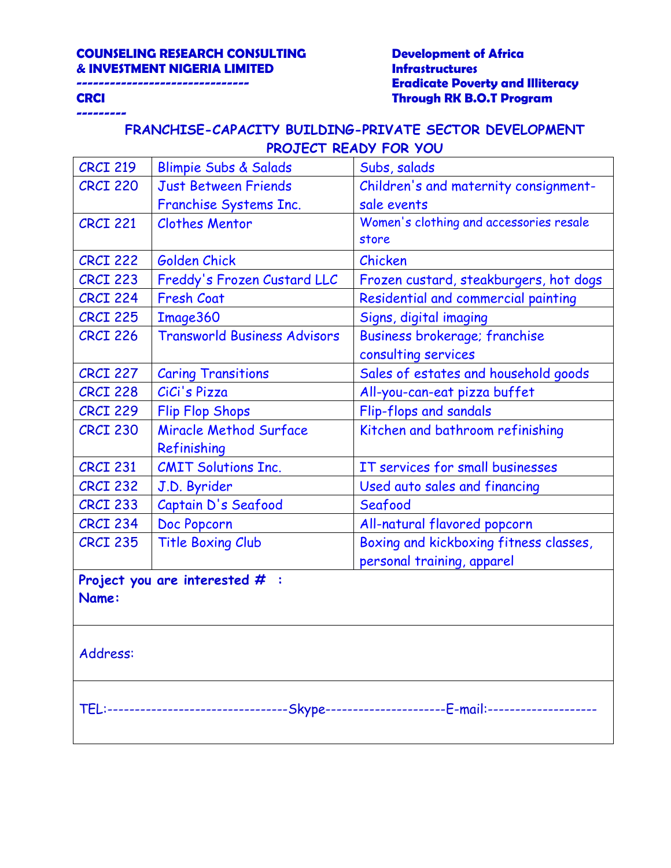**---------**

# **------------------------------- Eradicate Poverty and Illiteracy CRCI Through RK B.O.T Program**

| <b>CRCI 219</b>                                                                        | <b>Blimpie Subs &amp; Salads</b>    | Subs, salads                            |  |  |  |
|----------------------------------------------------------------------------------------|-------------------------------------|-----------------------------------------|--|--|--|
| <b>CRCI 220</b>                                                                        | <b>Just Between Friends</b>         | Children's and maternity consignment-   |  |  |  |
|                                                                                        | Franchise Systems Inc.              | sale events                             |  |  |  |
| <b>CRCI 221</b>                                                                        | <b>Clothes Mentor</b>               | Women's clothing and accessories resale |  |  |  |
|                                                                                        |                                     | store                                   |  |  |  |
| <b>CRCI 222</b>                                                                        | Golden Chick                        | Chicken                                 |  |  |  |
| <b>CRCI 223</b>                                                                        | Freddy's Frozen Custard LLC         | Frozen custard, steakburgers, hot dogs  |  |  |  |
| <b>CRCI 224</b>                                                                        | <b>Fresh Coat</b>                   | Residential and commercial painting     |  |  |  |
| <b>CRCI 225</b>                                                                        | Image360                            | Signs, digital imaging                  |  |  |  |
| <b>CRCI 226</b>                                                                        | <b>Transworld Business Advisors</b> | Business brokerage; franchise           |  |  |  |
|                                                                                        |                                     | consulting services                     |  |  |  |
| <b>CRCI 227</b>                                                                        | <b>Caring Transitions</b>           | Sales of estates and household goods    |  |  |  |
| <b>CRCI 228</b>                                                                        | CiCi's Pizza                        | All-you-can-eat pizza buffet            |  |  |  |
| <b>CRCI 229</b>                                                                        | <b>Flip Flop Shops</b>              | Flip-flops and sandals                  |  |  |  |
| <b>CRCI 230</b>                                                                        | <b>Miracle Method Surface</b>       | Kitchen and bathroom refinishing        |  |  |  |
|                                                                                        | Refinishing                         |                                         |  |  |  |
| <b>CRCI 231</b>                                                                        | <b>CMIT Solutions Inc.</b>          | IT services for small businesses        |  |  |  |
| <b>CRCI 232</b>                                                                        | J.D. Byrider                        | Used auto sales and financing           |  |  |  |
| <b>CRCI 233</b>                                                                        | Captain D's Seafood                 | Seafood                                 |  |  |  |
| <b>CRCI 234</b>                                                                        | Doc Popcorn                         | All-natural flavored popcorn            |  |  |  |
| <b>CRCI 235</b>                                                                        | <b>Title Boxing Club</b>            | Boxing and kickboxing fitness classes,  |  |  |  |
|                                                                                        |                                     | personal training, apparel              |  |  |  |
| Project you are interested $#$ :                                                       |                                     |                                         |  |  |  |
| Name:                                                                                  |                                     |                                         |  |  |  |
|                                                                                        |                                     |                                         |  |  |  |
|                                                                                        |                                     |                                         |  |  |  |
| Address:                                                                               |                                     |                                         |  |  |  |
|                                                                                        |                                     |                                         |  |  |  |
|                                                                                        |                                     |                                         |  |  |  |
| TEL:-------------------------------Skype---------------------E-mail:------------------ |                                     |                                         |  |  |  |
|                                                                                        |                                     |                                         |  |  |  |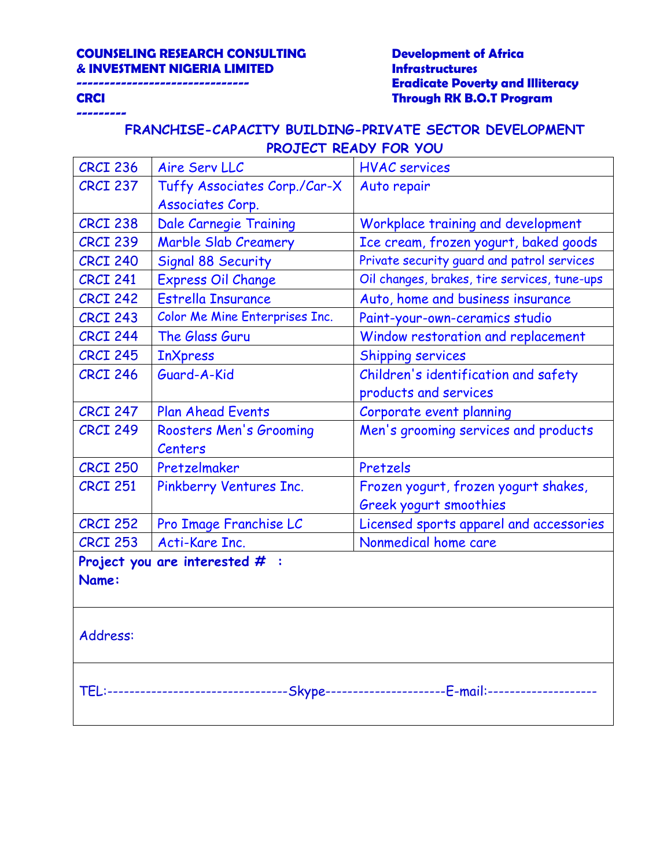**---------**

# **------------------------------- Eradicate Poverty and Illiteracy CRCI Through RK B.O.T Program**

| <b>CRCI 236</b>                                                                | Aire Serv LLC                  | <b>HVAC</b> services                         |  |  |  |
|--------------------------------------------------------------------------------|--------------------------------|----------------------------------------------|--|--|--|
| <b>CRCI 237</b>                                                                | Tuffy Associates Corp./Car-X   | Auto repair                                  |  |  |  |
|                                                                                | Associates Corp.               |                                              |  |  |  |
| <b>CRCI 238</b>                                                                | Dale Carnegie Training         | Workplace training and development           |  |  |  |
| <b>CRCI 239</b>                                                                | <b>Marble Slab Creamery</b>    | Ice cream, frozen yogurt, baked goods        |  |  |  |
| <b>CRCI 240</b>                                                                | Signal 88 Security             | Private security guard and patrol services   |  |  |  |
| <b>CRCI 241</b>                                                                | <b>Express Oil Change</b>      | Oil changes, brakes, tire services, tune-ups |  |  |  |
| <b>CRCI 242</b>                                                                | <b>Estrella Insurance</b>      | Auto, home and business insurance            |  |  |  |
| <b>CRCI 243</b>                                                                | Color Me Mine Enterprises Inc. | Paint-your-own-ceramics studio               |  |  |  |
| <b>CRCI 244</b>                                                                | The Glass Guru                 | Window restoration and replacement           |  |  |  |
| <b>CRCI 245</b>                                                                | <b>InXpress</b>                | <b>Shipping services</b>                     |  |  |  |
| <b>CRCI 246</b>                                                                | Guard-A-Kid                    | Children's identification and safety         |  |  |  |
|                                                                                |                                | products and services                        |  |  |  |
| <b>CRCI 247</b>                                                                | <b>Plan Ahead Events</b>       | Corporate event planning                     |  |  |  |
| <b>CRCI 249</b>                                                                | Roosters Men's Grooming        | Men's grooming services and products         |  |  |  |
|                                                                                | <b>Centers</b>                 |                                              |  |  |  |
| <b>CRCI 250</b>                                                                | Pretzelmaker                   | Pretzels                                     |  |  |  |
| <b>CRCI 251</b>                                                                | Pinkberry Ventures Inc.        | Frozen yogurt, frozen yogurt shakes,         |  |  |  |
|                                                                                |                                | Greek yogurt smoothies                       |  |  |  |
| <b>CRCI 252</b>                                                                | Pro Image Franchise LC         | Licensed sports apparel and accessories      |  |  |  |
| <b>CRCI 253</b>                                                                | Acti-Kare Inc.                 | Nonmedical home care                         |  |  |  |
| Project you are interested $#$ :                                               |                                |                                              |  |  |  |
| Name:                                                                          |                                |                                              |  |  |  |
|                                                                                |                                |                                              |  |  |  |
|                                                                                |                                |                                              |  |  |  |
| Address:                                                                       |                                |                                              |  |  |  |
|                                                                                |                                |                                              |  |  |  |
|                                                                                |                                |                                              |  |  |  |
| TEL:-------------------------------Skype---------------------E-mail:---------- |                                |                                              |  |  |  |
|                                                                                |                                |                                              |  |  |  |